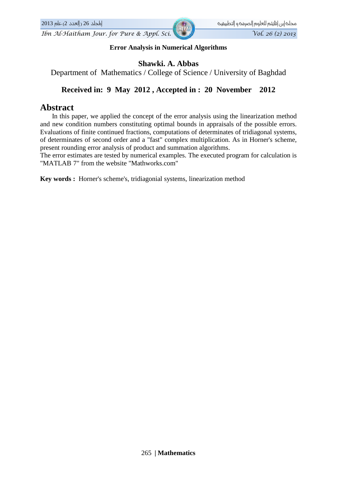**Error Analysis in Numerical Algorithms** 

### Shawki. A. Abbas

Department of Mathematics / College of Science / University of Baghdad

#### Received in: 9 May 2012, Accepted in: 20 November 2012

### **Abstract**

In this paper, we applied the concept of the error analysis using the linearization method and new condition numbers constituting optimal bounds in appraisals of the possible errors. Evaluations of finite continued fractions, computations of determinates of tridiagonal systems, of determinates of second order and a "fast" complex multiplication. As in Horner's scheme, present rounding error analysis of product and summation algorithms.

The error estimates are tested by numerical examples. The executed program for calculation is "MATLAB 7" from the website "Mathworks.com"

Key words: Horner's scheme's, tridiagonial systems, linearization method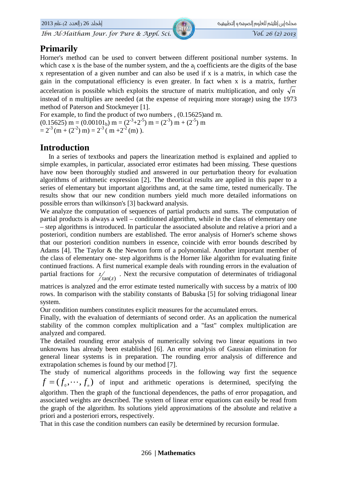## **Primarily**

Horner's method can be used to convert between different positional number systems. In which case x is the base of the number system, and the a<sub>i</sub> coefficients are the digits of the base x representation of a given number and can also be used if x is a matrix, in which case the gain in the computational efficiency is even greater. In fact when x is a matrix, further acceleration is possible which exploits the structure of matrix multiplication, and only  $\sqrt{n}$ instead of n multiplies are needed (at the expense of requiring more storage) using the 1973 method of Paterson and Stockmeyer [1].

For example, to find the product of two numbers , (0.15625)and m.

 $(0.15625)$  m =  $(0.00101<sub>b</sub>)$  m =  $(2<sup>-3</sup>+2<sup>-5</sup>)$  m =  $(2<sup>-3</sup>)$  m +  $(2<sup>-5</sup>)$  m  $= 2^{-3}$  (m + (2<sup>-2</sup>) m) =  $2^{-3}$  (m + 2<sup>-2</sup> (m)).

### **Introduction**

In a series of textbooks and papers the linearization method is explained and applied to simple examples, in particular, associated error estimates had been missing. These questions have now been thoroughly studied and answered in our perturbation theory for evaluation algorithms of arithmetic expression [2]. The theortical results are applied in this paper to a series of elementary but important algorithms and, at the same time, tested numerically. The results show that our new condition numbers yield much more detailed informations on possible errors than wilkinson's [3] backward analysis.

We analyze the computation of sequences of partial products and sums. The computation of partial products is always a well – conditioned algorithm, while in the class of elementary one - step algorithms is introduced. In particular the associated absolute and relative a priori and a posteriori, condition numbers are established. The error analysis of Horner's scheme shows that our posteriori condition numbers in essence, coincide with error bounds described by Adams [4]. The Taylor & the Newton form of a polynomial. Another important member of the class of elementary one- step algorithms is the Horner like algorithm for evaluating finite continued fractions. A first numerical example deals with rounding errors in the evaluation of partial fractions for  $z/_{tan(z)}$ . Next the recursive computation of determinates of tridiagonal

matrices is analyzed and the error estimate tested numerically with success by a matrix of 100 rows. In comparison with the stability constants of Babuska [5] for solving tridiagonal linear system.

Our condition numbers constitutes explicit measures for the accumulated errors.

Finally, with the evaluation of determiants of second order. As an application the numerical stability of the common complex multiplication and a "fast" complex multiplication are analyzed and compared.

The detailed rounding error analysis of numerically solving two linear equations in two unknowns has already been established [6]. An error analysis of Gaussian elimination for general linear systems is in preparation. The rounding error analysis of difference and extrapolation schemes is found by our method [7].

The study of numerical algorithms proceeds in the following way first the sequence  $f = (f_0, \dots, f_n)$  of input and arithmetic operations is determined, specifying the algorithm. Then the graph of the functional dependences, the paths of error propagation, and associated weights are described. The system of linear error equations can easily be read from the graph of the algorithm. Its solutions yield approximations of the absolute and relative a priori and a posteriori errors, respectively.

That in this case the condition numbers can easily be determined by recursion formulae.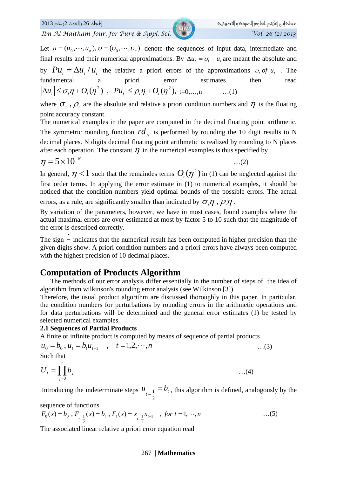اطجلد 26 (العدد 2) عام 2013

Ibn Al-Haitham Jour. for Pure & Appl. Sci.

Let  $u = (u_0, \dots, u_n)$ ,  $v = (v_0, \dots, v_n)$  denote the sequences of input data, intermediate and final results and their numerical approximations. By  $\Delta u_t = v_t - u_t$  are meant the absolute and by  $Pu_1 = \Delta u_1 / u_2$ , the relative a priori errors of the approximations  $v_1$  of  $u_1$ . The error fundamental priori  $\overline{a}$ estimates then read  $|\Delta u_t| \leq \sigma_t \eta + O_t(\eta^2)$ ,  $|Pu_t| \leq \rho_t \eta + O_t(\eta^2)$ , t=0,...,n  $\dots(1)$ 

where  $\sigma_{i}$ ,  $\rho_{i}$  are the absolute and relative a priori condition numbers and  $\eta$  is the floating point accuracy constant.

The numerical examples in the paper are computed in the decimal floating point arithmetic. The symmetric rounding function  $rd_{y}$  is performed by rounding the 10 digit results to N decimal places. N digits decimal floating point arithmetic is realized by rounding to N places after each operation. The constant  $\eta$  in the numerical examples is thus specified by

$$
\eta = 5 \times 10^{-8}
$$

 $\dots(2)$ 

In general,  $\eta$  < 1 such that the remaindes terms  $O(\eta^2)$  in (1) can be neglected against the first order terms. In applying the error estimate in (1) to numerical examples, it should be noticed that the condition numbers yield optimal bounds of the possible errors. The actual

errors, as a rule, are significantly smaller than indicated by  $\sigma \eta$ ,  $\rho \eta$ .

By variation of the parameters, however, we have in most cases, found examples where the actual maximal errors are over estimated at most by factor 5 to 10 such that the magnitude of the error is described correctly.

The sign  $=$  indicates that the numerical result has been computed in higher precision than the given digits show. A priori condition numbers and a priori errors have always been computed with the highest precision of 10 decimal places.

### **Computation of Products Algorithm**

The methods of our error analysis differ essentially in the number of steps of the idea of algorithm from wilkinson's rounding error analysis (see Wilkinson [3]).

Therefore, the usual product algorithm are discussed thoroughly in this paper. In particular, the condition numbers for perturbations by rounding errors in the arithmetic operations and for data perturbations will be determined and the general error estimates (1) be tested by selected numerical examples.

### **2.1 Sequences of Partial Products**

A finite or infinite product is computed by means of sequence of partial products

$$
u_0 = b_0, u_t = b_t u_{t-1}
$$
,  $t = 1, 2, \dots, n$  ...(3)  
Such that

$$
U_t = \prod_{j=0}^t b_j \qquad \qquad \dots (4)
$$

Introducing the indeterminate steps  $u_{t-\frac{1}{2}} = b_t$ , this algorithm is defined, analogously by the

sequence of functions

$$
F_0(x) = b_0, F_{t-\frac{1}{2}}(x) = b_t, F_t(x) = x_{t-\frac{1}{2}}x_{t-1}, \text{ for } t = 1, \dots, n
$$
...(5)

The associated linear relative a priori error equation read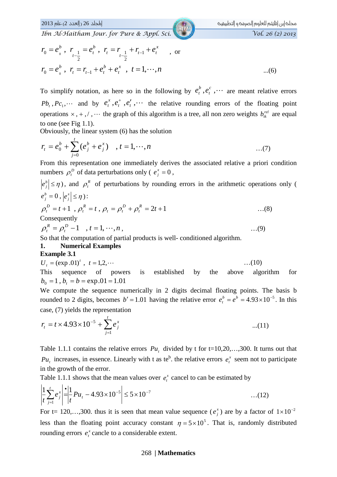اطجلد 26 (العدد 2) عام 2013

Ibn Al-Haitham Jour. for Pure & Appl. Sci.

$$
r_0 = e_0^b, r_{t-1} = e_t^b, r_t = r_{t-1} + r_{t-1} + e_t^x
$$
, or  

$$
r_0 = e_0^b, r_t = r_{t-1} + e_t^b + e_t^x, t = 1, \dots, n
$$
...(6)

To simplify notation, as here so in the following by  $e_t^b, e_t^c, \cdots$  are meant relative errors  $Pb_t$ ,  $Pc_1$ ,  $\cdots$  and by  $e_t^x$ ,  $e_t^+, e_t^+, \cdots$  the relative rounding errors of the floating point operations  $x, +, /, \cdots$  the graph of this algorithm is a tree, all non zero weights  $b_{ik}^{rel}$  are equal to one (see Fig  $1.1$ ).

Obviously, the linear system (6) has the solution

$$
r_{t} = e_{0}^{b} + \sum_{j=0}^{t} (e_{j}^{b} + e_{j}^{x}) \quad , t = 1, \cdots, n \quad ...(7)
$$

From this representation one immediately derives the associated relative a priori condition numbers  $\rho_t^b$  of data perturbations only ( $e_i^x = 0$ ,

$$
|e_j^b| \le \eta
$$
), and  $\rho_t^R$  of perturbations by rounding errors in the arithmetic operations only (  
\n $e_j^b = 0$ ,  $|e_j^x| \le \eta$ ):  
\n $\rho_t^D = t + 1$ ,  $\rho_t^R = t$ ,  $\rho_t = \rho_t^D + \rho_t^R = 2t + 1$  ...(8)  
\nConsequently  
\n $\rho_t^R = \rho_t^D - 1$ ,  $t = 1, \dots, n$ , ...(9)

So that the computation of partial products is well-conditioned algorithm.

#### **Numerical Examples** 1.

#### **Example 3.1**

$$
U_t = (exp.01)^t, \ t = 1, 2, \cdots \tag{10}
$$

This sequence of powers  $is$ established by the above algorithm for  $b_0 = 1$ ,  $b_t = b = \exp{.01} = 1.01$ 

We compute the sequence numerically in 2 digits decimal floating points. The basis b rounded to 2 digits, becomes  $b' = 1.01$  having the relative error  $e_t^b = e^b = 4.93 \times 10^{-5}$ . In this case, (7) yields the representation

$$
r_{t} = t \times 4.93 \times 10^{-5} + \sum_{j=1}^{t} e_{j}^{x}
$$
...(11)

Table 1.1.1 contains the relative errors  $Pu$ , divided by t for t=10,20,...,300. It turns out that  $Pu_t$  increases, in essence. Linearly with t as te<sup>b</sup>. the relative errors  $e_t^x$  seem not to participate in the growth of the error.

Table 1.1.1 shows that the mean values over  $e_t^x$  cancel to can be estimated by

$$
\left| \frac{1}{t} \sum_{j=1}^{t} e_j^x \right| = \left| \frac{1}{t} Pu_t - 4.93 \times 10^{-5} \right| \le 5 \times 10^{-7}
$$
...(12)

For t= 120,...,300, thus it is seen that mean value sequence ( $e_i^x$ ) are by a factor of  $1 \times 10^{-2}$ less than the floating point accuracy constant  $\eta = 5 \times 10^5$ . That is, randomly distributed rounding errors  $e_t^x$  cancle to a considerable extent.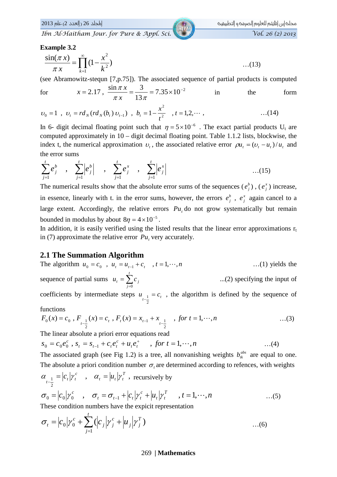|لطجلد 26 (العدد 2) عام 2013

#### **Example 3.2**

$$
\frac{\sin(\pi x)}{\pi x} = \prod_{k=1}^{\infty} (1 - \frac{x^2}{k^2})
$$
...(13)

(see Abramowitz-stequn [7,p.75]). The associated sequence of partial products is computed

$$
x = 2.17
$$
,  $\frac{\sin \pi x}{\pi x} = \frac{3}{13\pi} = 7.35 \times 10^{-2}$  in the form

$$
v_0 = 1
$$
,  $v_t = r d_N (r d_N (b_t) v_{t-1})$ ,  $b_t = 1 - \frac{x^2}{t^2}$ ,  $t = 1, 2, \cdots$ , ... (14)

In 6- digit decimal floating point such that  $\eta = 5 \times 10^{-6}$ . The exact partial products U<sub>t</sub> are computed approximately in  $10 -$  digit decimal floating point. Table 1.1.2 lists, blockwise, the index t, the numerical approximation  $v_t$ , the associated relative error  $\rho u_t = (v_t - u_t)/u_t$  and the error sums

$$
\sum_{j=1}^{t} e_j^b \quad , \quad \sum_{j=1}^{t} \left| e_j^b \right| \quad , \quad \sum_{j=1}^{t} e_j^x \quad , \quad \sum_{j=1}^{t} \left| e_j^x \right| \tag{15}
$$

The numerical results show that the absolute error sums of the sequences  $(e_i^b)$ ,  $(e_i^x)$  increase, in essence, linearly with t. in the error sums, however, the errors  $e_j^b$ ,  $e_j^x$  again cancel to a large extent. Accordingly, the relative errors  $Pu$ , do not grow systematically but remain bounded in modulus by about  $8\eta = 4 \times 10^{-5}$ .

In addition, it is easily verified using the listed results that the linear error approximations  $r_t$ in (7) approximate the relative error  $Pu$ , very accurately.

### **2.1 The Summation Algorithm**

The algorithm 
$$
u_0 = c_0
$$
,  $u_t = u_{t-1} + c_t$ ,  $t = 1, \dots, n$  ...(1) yields the sequence of partial sums  $u_t = \sum_{j=0}^t c_j$  ...(2) specifying the input of coefficients by intermediate steps  $u_{t-\frac{1}{2}} = c_t$ , the algorithm is defined by the sequence of

#### functions

$$
F_0(x) = c_0, F_{t-\frac{1}{2}}(x) = c_t, F_t(x) = x_{t-1} + x_{t-\frac{1}{2}} \quad , \text{ for } t = 1, \dots, n \quad ...(3)
$$

The linear absolute a priori error equations read

$$
s_0 = c_0 e_0^c, s_t = s_{t-1} + c_t e_t^c + u_t e_t^+ \quad , \text{ for } t = 1, \dots, n \tag{4}
$$

The associated graph (see Fig 1.2) is a tree, all nonvanishing weights  $b_{ik}^{abs}$  are equal to one. The absolute a priori condition number  $\sigma$ , are determined according to refences, with weights

$$
\alpha_{t-\frac{1}{2}} = |c_t|\gamma_t^c \quad , \quad \alpha_t = |u_t|\gamma_t^T \text{ , recursively by}
$$
\n
$$
\sigma_0 = |c_0|\gamma_0^c \quad , \quad \sigma_t = \sigma_{t-1} + |c_t|\gamma_t^c + |u_t|\gamma_t^T \quad , \quad t = 1, \cdots, n \quad \text{...(5)}
$$

These condition numbers have the expicit representation

$$
\sigma_{t} = |c_{0}| \gamma_{0}^{c} + \sum_{j=1}^{t} (|c_{j}| \gamma_{j}^{c} + |u_{j}| \gamma_{j}^{T}) \qquad ...(6)
$$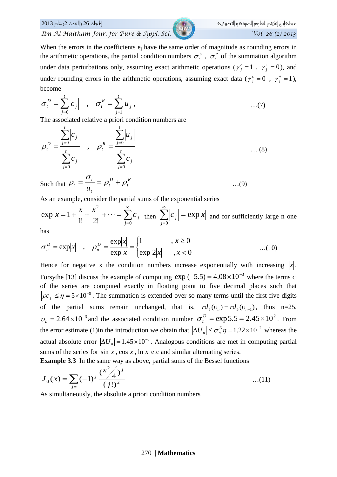When the errors in the coefficients  $e_i$  have the same order of magnitude as rounding errors in the arithmetic operations, the partial condition numbers  $\sigma_t^D$ ,  $\sigma_t^R$  of the summation algorithm under data perturbations only, assuming exact arithmetic operations ( $\gamma_i^c = 1$ ,  $\gamma_i^+ = 0$ ), and under rounding errors in the arithmetic operations, assuming exact data ( $\gamma_i^c = 0$ ,  $\gamma_i^+ = 1$ ), become

$$
\sigma_t^D = \sum_{j=0}^t \left| c_j \right| \quad , \quad \sigma_t^R = \sum_{j=1}^t \left| u_j \right|, \tag{7}
$$

The associated relative a priori condition numbers are

$$
\rho_t^D = \frac{\sum_{j=0}^t |c_j|}{\left|\sum_{j=0}^t c_j\right|} , \quad \rho_t^R = \frac{\sum_{j=0}^t |u_j|}{\left|\sum_{j=0}^t c_j\right|} \dots (8)
$$
  
Such that  $\rho_t = \frac{\sigma_t}{|c_t|} = \rho_t^D + \rho_t^R$  ... (9)

 $|u_{\iota}|$ As an example, consider the partial sums of the exponential series

 $\exp x = 1 + \frac{x}{1!} + \frac{x^2}{2!} + \cdots = \sum_{i=0}^{\infty} c_i$  then  $\sum_{i=0}^{\infty} |c_i| = \exp|x|$  and for sufficiently large n one

has

$$
\sigma_n^D = \exp|x| \quad , \quad \rho_n^D = \frac{\exp|x|}{\exp x} = \begin{cases} 1 & , x \ge 0 \\ \exp 2|x| & , x < 0 \end{cases} \tag{10}
$$

Hence for negative x the condition numbers increase exponentially with increasing  $|x|$ . For sythe [13] discuss the example of computing  $\exp(-5.5) = 4.08 \times 10^{-3}$  where the terms  $c_i$ of the series are computed exactly in floating point to five decimal places such that  $|\rho c_j| \le \eta = 5 \times 10^{-5}$ . The summation is extended over so many terms until the first five digits of the partial sums remain unchanged, that is,  $rd_5(v_n) = rd_5(v_{n+1})$ , thus n=25,  $v_n = 2.64 \times 10^{-3}$  and the associated condition number  $\sigma_n^D = \exp 5.5 = 2.45 \times 10^2$ . From the error estimate (1)in the introduction we obtain that  $|\Delta U_n| \le \sigma_n^D \eta = 1.22 \times 10^{-2}$  whereas the actual absolute error  $|\Delta U_n| = 1.45 \times 10^{-3}$ . Analogous conditions are met in computing partial sums of the series for  $\sin x$ ,  $\cos x$ ,  $\ln x$  etc and similar alternating series.

**Example 3.3** In the same way as above, partial sums of the Bessel functions

$$
J_0(x) = \sum_{j=}^{\infty} (-1)^j \frac{(x^2/4)^j}{(j!)^2}
$$
...(11)

As simultaneously, the absolute a priori condition numbers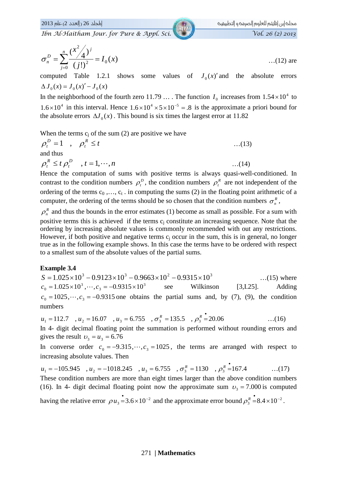|لطجلد 26 (العدد 2) عام 2013

Ibn Al-Haitham Jour. for Pure & Appl. Sci.

$$
\sigma_n^D = \sum_{j=0}^n \frac{(x^2/4)^j}{(j!)^2} = I_0(x) \tag{12}
$$
 are

computed Table 1.2.1 shows some values of  $J_0(x)$  and the absolute errors  $\Delta J_0(x) = J_0(x)' - J_0(x)$ 

In the neighborhood of the fourth zero 11.79 ... The function  $I_0$  increases from  $1.54 \times 10^4$  to  $1.6 \times 10^4$  in this interval. Hence  $1.6 \times 10^4 \times 5 \times 10^{-5} = .8$  is the approximate a priori bound for the absolute errors  $\Delta J_0(x)$ . This bound is six times the largest error at 11.82

When the terms  $c_i$  of the sum (2) are positive we have

$$
\rho_t^D = 1 \quad , \quad \rho_t^R \le t \tag{13}
$$
  
and thus  

$$
\rho_t^R \le t \rho_t^D \quad , \quad t = 1, \cdots, n \tag{14}
$$

Hence the computation of sums with positive terms is always quasi-well-conditioned. In contrast to the condition numbers  $\rho_t^p$ , the condition numbers  $\rho_t^R$  are not independent of the ordering of the terms  $c_0, \ldots, c_t$ , in computing the sums (2) in the floating point arithmetic of a computer, the ordering of the terms should be so chosen that the condition numbers  $\sigma_n^R$ ,

 $\rho_n^R$  and thus the bounds in the error estimates (1) become as small as possible. For a sum with positive terms this is achieved if the terms c<sub>i</sub> constitute an increasing sequence. Note that the ordering by increasing absolute values is commonly recommended with out any restrictions. However, if both positive and negative terms  $c_i$  occur in the sum, this is in general, no longer true as in the following example shows. In this case the terms have to be ordered with respect to a smallest sum of the absolute values of the partial sums.

#### **Example 3.4**

 $S = 1.025 \times 10^3 - 0.9123 \times 10^3 - 0.9663 \times 10^2 - 0.9315 \times 10^3$  $\dots(15)$  where  $c_0 = 1.025 \times 10^3, \dots, c_3 = -0.9315 \times 10^3$ see Wilkinson  $[3,1.25]$ . Adding  $c_0 = 1025, \dots, c_3 = -0.9315$  one obtains the partial sums and, by (7), (9), the condition numbers

$$
u_1 = 112.7
$$
,  $u_2 = 16.07$ ,  $u_3 = 6.755$ ,  $\sigma_3^R = 135.5$ ,  $\rho_3^R = 20.06$  ...(16)

In 4- digit decimal floating point the summation is performed without rounding errors and gives the result  $v_3 = u_3 = 6.76$ 

In converse order  $c_0 = -9.315, \dots, c_3 = 1025$ , the terms are arranged with respect to increasing absolute values. Then

$$
u_1 = -105.945
$$
,  $u_2 = -1018.245$ ,  $u_3 = 6.755$ ,  $\sigma_3^R = 1130$ ,  $\rho_3^R = 167.4$  ... (17)

These condition numbers are more than eight times larger than the above condition numbers (16). In 4- digit decimal floating point now the approximate sum  $v_2 = 7.000$  is computed

having the relative error  $\rho u_3 = 3.6 \times 10^{-2}$  and the approximate error bound  $\rho_3^R = 8.4 \times 10^{-2}$ .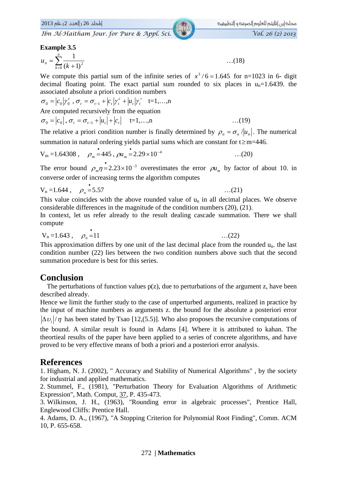### **Example 3.5**

$$
u_n = \sum_{k=0}^n \frac{1}{(k+1)^2} \tag{18}
$$

We compute this partial sum of the infinite series of  $x^3/6 = 1.645$  for n=1023 in 6- digit decimal floating point. The exact partial sum rounded to six places in  $u_n=1.6439$ . the associated absolute a priori condition numbers

$$
\sigma_0 = |c_0| \gamma_0^c, \sigma_t = \sigma_{t-1} + |c_t| \gamma_t^c + |u_t| \gamma_t^+ \quad \text{t=1,...,n}
$$
  
Are computed recursively from the equation  

$$
\sigma_0 = |c_0|, \sigma_t = \sigma_{t-1} + |u_t| + |c_t| \quad \text{t=1,...,n}
$$
...(19)

The relative a priori condition number is finally determined by  $\rho_n = \sigma_n / |u_n|$ . The numerical summation in natural ordering yields partial sums which are constant for  $t \ge m=446$ .

$$
V_m = 1.64308
$$
,  $\rho_m = 445$ ,  $\rho u_m = 2.29 \times 10^{-4}$  ...(20)

The error bound  $\rho_m \eta = 2.23 \times 10^{-3}$  overestimates the error  $\rho u_m$  by factor of about 10. in converse order of increasing terms the algorithm computes

$$
V_n = 1.644 \ , \quad \rho_n = 5.57 \ \ \dots (21)
$$

This value coincides with the above rounded value of  $u_n$  in all decimal places. We observe considerable differences in the magnitude of the condition numbers  $(20)$ ,  $(21)$ .

In context, let us refer already to the result dealing cascade summation. There we shall compute

 $\dots(22)$ 

$$
V_n = 1.643
$$
,  $\rho_n = 11$ 

This approximation differs by one unit of the last decimal place from the rounded  $u_n$ , the last condition number (22) lies between the two condition numbers above such that the second summation procedure is best for this series.

### **Conclusion**

The perturbations of function values  $p(z)$ , due to perturbations of the argument z, have been described already.

Hence we limit the further study to the case of unperturbed arguments, realized in practice by the input of machine numbers as arguments z. the bound for the absolute a posteriori error  $|\Delta v_i|/\eta$  has been stated by Tsao [12,(5.5)]. Who also proposes the recursive computations of the bound. A similar result is found in Adams [4]. Where it is attributed to kahan. The theortical results of the paper have been applied to a series of concrete algorithms, and have proved to be very effective means of both a priori and a posteriori error analysis.

### **References**

1. Higham, N. J. (2002), " Accuracy and Stability of Numerical Algorithms", by the society for industrial and applied mathematics.

2. Stummel, F., (1981), "Perturbation Theory for Evaluation Algorithms of Arithmetic Expression", Math. Comput, 37, P. 435-473.

3. Wilkinson, J. H., (1963), "Rounding error in algebraic processes", Prentice Hall, Englewood Cliffs: Prentice Hall.

4. Adams, D. A., (1967), "A Stopping Criterion for Polynomial Root Finding", Comm. ACM 10, P. 655-658.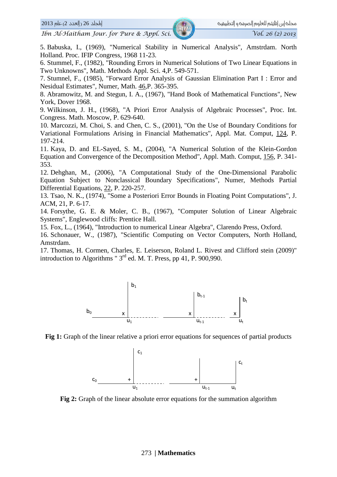#### $2013$  العدد 2) عام 2013

5. Babuska, I., (1969), "Numerical Stability in Numerical Analysis", Amstrdam. North Holland. Proc. IFIP Congress, 1968 11-23.

6. Stummel, F., (1982), "Rounding Errors in Numerical Solutions of Two Linear Equations in Two Unknowns", Math. Methods Appl. Sci. 4, P. 549-571.

7. Stumnel, F., (1985), "Forward Error Analysis of Gaussian Elimination Part I : Error and Nesidual Estimates", Numer, Math. 46, P. 365-395.

8. Abramowitz, M. and Stegun, I. A., (1967), "Hand Book of Mathematical Functions", New York, Dover 1968.

9. Wilkinson, J. H., (1968), "A Priori Error Analysis of Algebraic Processes", Proc. Int. Congress. Math. Moscow, P. 629-640.

10. Marcozzi, M. Choi, S. and Chen, C. S., (2001), "On the Use of Boundary Conditions for Variational Formulations Arising in Financial Mathematics", Appl. Mat. Comput, 124, P. 197-214.

11. Kava, D. and EL-Saved, S. M., (2004), "A Numerical Solution of the Klein-Gordon Equation and Convergence of the Decomposition Method", Appl. Math. Comput, 156, P. 341-353.

12. Dehghan, M., (2006), "A Computational Study of the One-Dimensional Parabolic Equation Subject to Nonclassical Boundary Specifications", Numer, Methods Partial Differential Equations, 22, P. 220-257.

13. Tsao, N. K., (1974). "Some a Posteriori Error Bounds in Floating Point Computations". J. ACM, 21, P. 6-17.

14. Forsythe, G. E. & Moler, C. B., (1967), "Computer Solution of Linear Algebraic Systems", Englewood cliffs: Prentice Hall.

15. Fox, L., (1964). "Introduction to numerical Linear Algebra". Clarendo Press, Oxford.

16. Schonauer, W., (1987), "Scientific Computing on Vector Computers, North Holland, Amstrdam.

17. Thomas, H. Cormen, Charles, E. Leiserson, Roland L. Rivest and Clifford stein (2009)" introduction to Algorithms " $3<sup>rd</sup>$  ed. M. T. Press, pp 41, P. 900,990.



Fig 1: Graph of the linear relative a priori error equations for sequences of partial products



Fig 2: Graph of the linear absolute error equations for the summation algorithm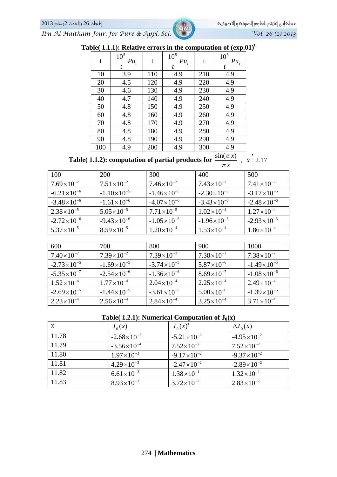*Ibn Al-Haitham Jour. for Pure & Appl. Sci. Vol. 26 (2) 2013*

| Table( 1.1.1): Relative errors in the computation of $(exp.01)^t$ |
|-------------------------------------------------------------------|
|-------------------------------------------------------------------|

| t   | 10 <sup>5</sup><br>$Pu_t$<br>t | t   | 10 <sup>5</sup><br>$Pu_t$<br>t | t   | 10 <sup>5</sup><br>$Pu_t$                            |
|-----|--------------------------------|-----|--------------------------------|-----|------------------------------------------------------|
| 10  | 3.9                            | 110 | 4.9                            | 210 | 4.9                                                  |
| 20  | 4.5                            | 120 | 4.9                            | 220 | 4.9                                                  |
| 30  | 4.6                            | 130 | 4.9                            | 230 | 4.9                                                  |
| 40  | 4.7                            | 140 | 4.9                            | 240 | 4.9                                                  |
| 50  | 4.8                            | 150 | 4.9                            | 250 | 4.9                                                  |
| 60  | 4.8                            | 160 | 4.9                            | 260 | 4.9                                                  |
| 70  | 4.8                            | 170 | 4.9                            | 270 | 4.9                                                  |
| 80  | 4.8                            | 180 | 4.9                            | 280 | 4.9                                                  |
| 90  | 4.8                            | 190 | 4.9                            | 290 | 4.9                                                  |
| 100 | 4.9                            | 200 | 4.9                            | 300 | 4.9<br>$\mathcal{L}$ and $\mathcal{L} = \mathcal{L}$ |

**Table( 1.1.2): computation of partial products for**  $\frac{\sin(\pi x)}{\pi x}$ **,**  $x=2.17$ π

|                        |                        | $\pi x$                |                        |                        |
|------------------------|------------------------|------------------------|------------------------|------------------------|
| 100                    | <b>200</b>             | 300                    | 400                    | 500                    |
| $7.69\times10^{-2}$    | $7.51 \times 10^{-2}$  | $7.46\times10^{-2}$    | $7.43 \times 10^{-2}$  | $7.41 \times 10^{-2}$  |
| $-6.21 \times 10^{-6}$ | $-1.10\times10^{-5}$   | $-1.46\times10^{-5}$   | $-2.30\times10^{-5}$   | $-3.17\times10^{-5}$   |
| $-3.48 \times 10^{-6}$ | $-1.61 \times 10^{-6}$ | $-4.07 \times 10^{-6}$ | $-3.43 \times 10^{-6}$ | $-2.48 \times 10^{-6}$ |
| $2.38 \times 10^{-5}$  | $5.05 \times 10^{-5}$  | $7.71 \times 10^{-5}$  | $1.02\times10^{-4}$    | $1.27 \times 10^{-4}$  |
| $-2.72 \times 10^{-6}$ | $-9.43 \times 10^{-6}$ | $-1.05 \times 10^{-5}$ | $-1.96\times10^{-5}$   | $-2.93 \times 10^{-5}$ |
| $5.37 \times 10^{-5}$  | $8.59\times10^{-5}$    | $1.20 \times 10^{-4}$  | $1.53\times10^{-4}$    | $1.86 \times 10^{-4}$  |

| 600                    | 700                    | 800                    | 900                   | 1000                  |
|------------------------|------------------------|------------------------|-----------------------|-----------------------|
| $7.40\times10^{-2}$    | $7.39\times10^{-2}$    | $7.39\times10^{-2}$    | $7.38\times10^{-2}$   | $7.38 \times 10^{-2}$ |
| $-2.73 \times 10^{-5}$ | $-1.69\times10^{-5}$   | $-3.74 \times 10^{-5}$ | $5.87\times10^{-6}$   | $-1.49\times10^{-5}$  |
| $-5.35 \times 10^{-7}$ | $-2.54 \times 10^{-6}$ | $-1.36\times10^{-6}$   | $8.69\times10^{-7}$   | $-1.08\times10^{-6}$  |
| $1.52\times10^{-4}$    | $1.77 \times 10^{-4}$  | $2.04 \times 10^{-4}$  | $2.25 \times 10^{-4}$ | $2.49\times10^{-4}$   |
| $-2.69\times10^{-5}$   | $-1.44 \times 10^{-5}$ | $-3.61 \times 10^{-5}$ | $5.00\times10^{-6}$   | $-1.39\times10^{-5}$  |
| $2.23 \times 10^{-4}$  | $2.56 \times 10^{-4}$  | $2.84\times10^{-4}$    | $3.25 \times 10^{-4}$ | $3.71 \times 10^{-4}$ |

| Table( 1.2.1): Numerical Computation of $J_0(x)$ |
|--------------------------------------------------|
|--------------------------------------------------|

| $\mathbf{X}$ | $J_0(x)$               | $J_0(x)'$              | $\Delta J_0(x)$        |
|--------------|------------------------|------------------------|------------------------|
| 11.78        | $-2.68 \times 10^{-3}$ | $-5.21 \times 10^{-2}$ | $-4.95 \times 10^{-2}$ |
| 11.79        | $-3.56 \times 10^{-4}$ | $7.52\times10^{-2}$    | $7.52\times10^{-2}$    |
| 11.80        | $1.97 \times 10^{-3}$  | $-9.17 \times 10^{-2}$ | $-9.37 \times 10^{-2}$ |
| 11.81        | $4.29 \times 10^{-3}$  | $-2.47 \times 10^{-2}$ | $-2.89\times10^{-2}$   |
| 11.82        | $6.61 \times 10^{-3}$  | $1.38 \times 10^{-1}$  | $1.32 \times 10^{-1}$  |
| 11.83        | $8.93 \times 10^{-3}$  | $3.72 \times 10^{-2}$  | $2.83 \times 10^{-2}$  |